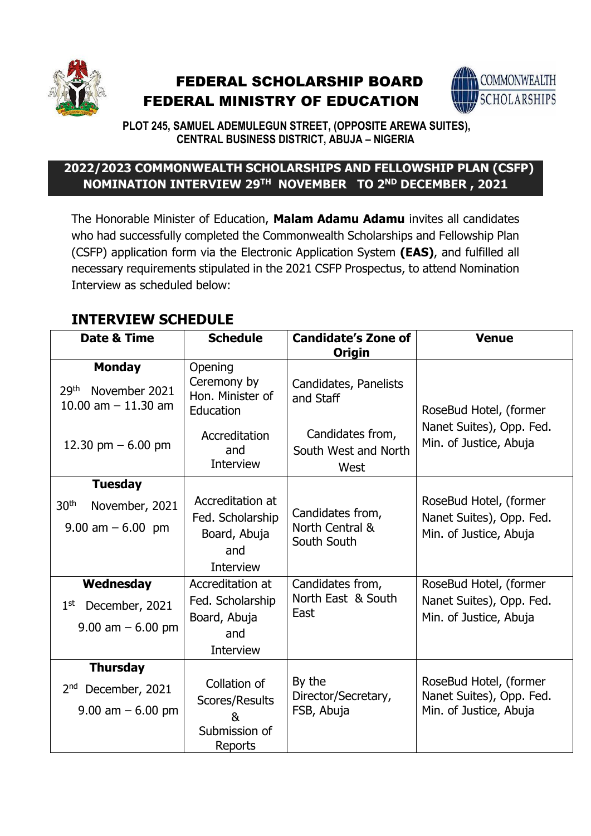

# FEDERAL SCHOLARSHIP BOARD FEDERAL MINISTRY OF EDUCATION



**PLOT 245, SAMUEL ADEMULEGUN STREET, (OPPOSITE AREWA SUITES), CENTRAL BUSINESS DISTRICT, ABUJA – NIGERIA**

### **2022/2023 COMMONWEALTH SCHOLARSHIPS AND FELLOWSHIP PLAN (CSFP) NOMINATION INTERVIEW 29TH NOVEMBER TO 2ND DECEMBER , 2021**

The Honorable Minister of Education, **Malam Adamu Adamu** invites all candidates who had successfully completed the Commonwealth Scholarships and Fellowship Plan (CSFP) application form via the Electronic Application System **(EAS)**, and fulfilled all necessary requirements stipulated in the 2021 CSFP Prospectus, to attend Nomination Interview as scheduled below:

## **INTERVIEW SCHEDULE**

| Date & Time                                        | <b>Schedule</b>                          | <b>Candidate's Zone of</b><br><b>Origin</b>      | <b>Venue</b>                                       |
|----------------------------------------------------|------------------------------------------|--------------------------------------------------|----------------------------------------------------|
| <b>Monday</b><br>29 <sup>th</sup><br>November 2021 | Opening<br>Ceremony by                   | Candidates, Panelists                            |                                                    |
| 10.00 am $-$ 11.30 am                              | Hon. Minister of<br>Education            | and Staff                                        | RoseBud Hotel, (former                             |
| 12.30 pm $-6.00$ pm                                | Accreditation<br>and<br><b>Interview</b> | Candidates from,<br>South West and North<br>West | Nanet Suites), Opp. Fed.<br>Min. of Justice, Abuja |
| <b>Tuesday</b>                                     |                                          |                                                  |                                                    |
| 30 <sup>th</sup><br>November, 2021                 | Accreditation at<br>Fed. Scholarship     | Candidates from,                                 | RoseBud Hotel, (former<br>Nanet Suites), Opp. Fed. |
| $9.00 \text{ am} - 6.00 \text{ pm}$                | Board, Abuja<br>and<br><b>Interview</b>  | North Central &<br>South South                   | Min. of Justice, Abuja                             |
| Wednesday                                          | Accreditation at                         | Candidates from,                                 | RoseBud Hotel, (former                             |
| 1 <sup>st</sup><br>December, 2021                  | Fed. Scholarship<br>Board, Abuja         | North East & South<br>East                       | Nanet Suites), Opp. Fed.<br>Min. of Justice, Abuja |
| $9.00$ am $-6.00$ pm                               | and                                      |                                                  |                                                    |
|                                                    | <b>Interview</b>                         |                                                  |                                                    |
| <b>Thursday</b>                                    |                                          |                                                  |                                                    |
| December, 2021<br>2 <sup>nd</sup>                  | Collation of<br>Scores/Results           | By the<br>Director/Secretary,                    | RoseBud Hotel, (former<br>Nanet Suites), Opp. Fed. |
| $9.00$ am $-6.00$ pm                               | &                                        | FSB, Abuja                                       | Min. of Justice, Abuja                             |
|                                                    | Submission of<br>Reports                 |                                                  |                                                    |